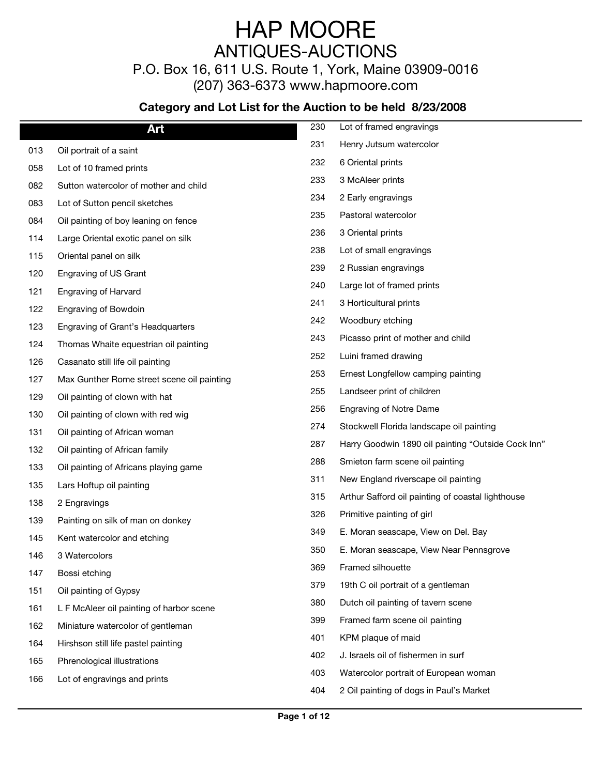P.O. Box 16, 611 U.S. Route 1, York, Maine 03909-0016

(207) 363-6373 www.hapmoore.com

|     | Art                                        | 230 | Lot of framed engravings                           |
|-----|--------------------------------------------|-----|----------------------------------------------------|
| 013 | Oil portrait of a saint                    | 231 | Henry Jutsum watercolor                            |
| 058 | Lot of 10 framed prints                    | 232 | 6 Oriental prints                                  |
| 082 | Sutton watercolor of mother and child      | 233 | 3 McAleer prints                                   |
| 083 | Lot of Sutton pencil sketches              | 234 | 2 Early engravings                                 |
| 084 | Oil painting of boy leaning on fence       | 235 | Pastoral watercolor                                |
| 114 | Large Oriental exotic panel on silk        | 236 | 3 Oriental prints                                  |
| 115 | Oriental panel on silk                     | 238 | Lot of small engravings                            |
| 120 | Engraving of US Grant                      | 239 | 2 Russian engravings                               |
| 121 | <b>Engraving of Harvard</b>                | 240 | Large lot of framed prints                         |
| 122 | <b>Engraving of Bowdoin</b>                | 241 | 3 Horticultural prints                             |
| 123 | Engraving of Grant's Headquarters          | 242 | Woodbury etching                                   |
| 124 | Thomas Whaite equestrian oil painting      | 243 | Picasso print of mother and child                  |
| 126 | Casanato still life oil painting           | 252 | Luini framed drawing                               |
| 127 | Max Gunther Rome street scene oil painting | 253 | Ernest Longfellow camping painting                 |
| 129 | Oil painting of clown with hat             | 255 | Landseer print of children                         |
| 130 | Oil painting of clown with red wig         | 256 | <b>Engraving of Notre Dame</b>                     |
| 131 | Oil painting of African woman              | 274 | Stockwell Florida landscape oil painting           |
| 132 | Oil painting of African family             | 287 | Harry Goodwin 1890 oil painting "Outside Cock Inn" |
| 133 | Oil painting of Africans playing game      | 288 | Smieton farm scene oil painting                    |
| 135 | Lars Hoftup oil painting                   | 311 | New England riverscape oil painting                |
| 138 | 2 Engravings                               | 315 | Arthur Safford oil painting of coastal lighthouse  |
| 139 | Painting on silk of man on donkey          | 326 | Primitive painting of girl                         |
| 145 | Kent watercolor and etching                | 349 | E. Moran seascape, View on Del. Bay                |
| 146 | 3 Watercolors                              | 350 | E. Moran seascape, View Near Pennsgrove            |
| 147 | Bossi etching                              | 369 | Framed silhouette                                  |
| 151 | Oil painting of Gypsy                      | 379 | 19th C oil portrait of a gentleman                 |
| 161 | L F McAleer oil painting of harbor scene   | 380 | Dutch oil painting of tavern scene                 |
| 162 | Miniature watercolor of gentleman          | 399 | Framed farm scene oil painting                     |
| 164 | Hirshson still life pastel painting        | 401 | KPM plaque of maid                                 |
| 165 | Phrenological illustrations                | 402 | J. Israels oil of fishermen in surf                |
| 166 | Lot of engravings and prints               | 403 | Watercolor portrait of European woman              |
|     |                                            | 404 | 2 Oil painting of dogs in Paul's Market            |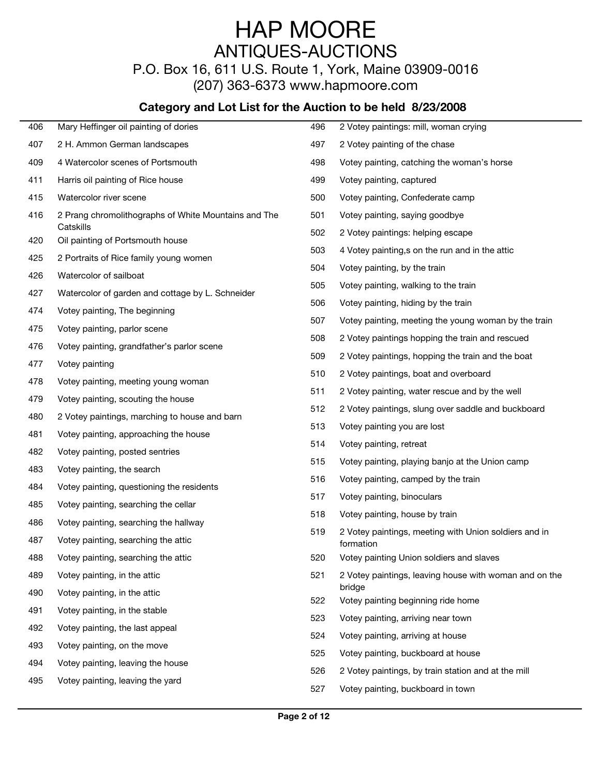P.O. Box 16, 611 U.S. Route 1, York, Maine 03909-0016

(207) 363-6373 www.hapmoore.com

| 406        | Mary Heffinger oil painting of dories                | 496 | 2 Votey paintings: mill, woman crying                              |
|------------|------------------------------------------------------|-----|--------------------------------------------------------------------|
| 407        | 2 H. Ammon German landscapes                         | 497 | 2 Votey painting of the chase                                      |
| 409        | 4 Watercolor scenes of Portsmouth                    | 498 | Votey painting, catching the woman's horse                         |
| 411        | Harris oil painting of Rice house                    | 499 | Votey painting, captured                                           |
| 415        | Watercolor river scene                               | 500 | Votey painting, Confederate camp                                   |
| 416        | 2 Prang chromolithographs of White Mountains and The | 501 | Votey painting, saying goodbye                                     |
| 420        | Catskills<br>Oil painting of Portsmouth house        | 502 | 2 Votey paintings: helping escape                                  |
|            |                                                      | 503 | 4 Votey painting, s on the run and in the attic                    |
| 425<br>426 | 2 Portraits of Rice family young women               | 504 | Votey painting, by the train                                       |
|            | Watercolor of sailboat                               | 505 | Votey painting, walking to the train                               |
| 427        | Watercolor of garden and cottage by L. Schneider     | 506 | Votey painting, hiding by the train                                |
| 474        | Votey painting, The beginning                        | 507 | Votey painting, meeting the young woman by the train               |
| 475        | Votey painting, parlor scene                         | 508 | 2 Votey paintings hopping the train and rescued                    |
| 476        | Votey painting, grandfather's parlor scene           | 509 | 2 Votey paintings, hopping the train and the boat                  |
| 477        | Votey painting                                       | 510 | 2 Votey paintings, boat and overboard                              |
| 478        | Votey painting, meeting young woman                  | 511 | 2 Votey painting, water rescue and by the well                     |
| 479        | Votey painting, scouting the house                   | 512 | 2 Votey paintings, slung over saddle and buckboard                 |
| 480        | 2 Votey paintings, marching to house and barn        | 513 | Votey painting you are lost                                        |
| 481        | Votey painting, approaching the house                | 514 | Votey painting, retreat                                            |
| 482        | Votey painting, posted sentries                      | 515 | Votey painting, playing banjo at the Union camp                    |
| 483        | Votey painting, the search                           | 516 | Votey painting, camped by the train                                |
| 484        | Votey painting, questioning the residents            | 517 | Votey painting, binoculars                                         |
| 485        | Votey painting, searching the cellar                 |     | Votey painting, house by train                                     |
| 486        | Votey painting, searching the hallway                | 518 |                                                                    |
| 487        | Votey painting, searching the attic                  | 519 | 2 Votey paintings, meeting with Union soldiers and in<br>formation |
| 488        | Votey painting, searching the attic                  | 520 | Votey painting Union soldiers and slaves                           |
| 489        | Votey painting, in the attic                         | 521 | 2 Votey paintings, leaving house with woman and on the             |
| 490        | Votey painting, in the attic                         |     | bridge                                                             |
| 491        | Votey painting, in the stable                        | 522 | Votey painting beginning ride home                                 |
| 492        | Votey painting, the last appeal                      | 523 | Votey painting, arriving near town                                 |
| 493        | Votey painting, on the move                          | 524 | Votey painting, arriving at house                                  |
| 494        | Votey painting, leaving the house                    | 525 | Votey painting, buckboard at house                                 |
| 495        | Votey painting, leaving the yard                     | 526 | 2 Votey paintings, by train station and at the mill                |
|            |                                                      | 527 | Votey painting, buckboard in town                                  |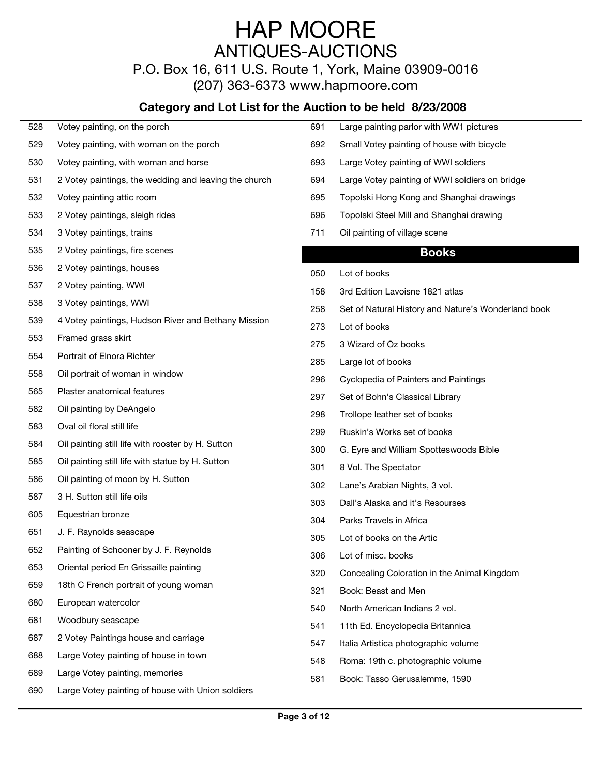P.O. Box 16, 611 U.S. Route 1, York, Maine 03909-0016 (207) 363-6373 www.hapmoore.com

| 528 | Votey painting, on the porch                          | 691 | Large painting parlor with WW1 pictures             |
|-----|-------------------------------------------------------|-----|-----------------------------------------------------|
| 529 | Votey painting, with woman on the porch               | 692 | Small Votey painting of house with bicycle          |
| 530 | Votey painting, with woman and horse                  | 693 | Large Votey painting of WWI soldiers                |
| 531 | 2 Votey paintings, the wedding and leaving the church | 694 | Large Votey painting of WWI soldiers on bridge      |
| 532 | Votey painting attic room                             | 695 | Topolski Hong Kong and Shanghai drawings            |
| 533 | 2 Votey paintings, sleigh rides                       | 696 | Topolski Steel Mill and Shanghai drawing            |
| 534 | 3 Votey paintings, trains                             | 711 | Oil painting of village scene                       |
| 535 | 2 Votey paintings, fire scenes                        |     | <b>Books</b>                                        |
| 536 | 2 Votey paintings, houses                             | 050 | Lot of books                                        |
| 537 | 2 Votey painting, WWI                                 | 158 | 3rd Edition Lavoisne 1821 atlas                     |
| 538 | 3 Votey paintings, WWI                                | 258 | Set of Natural History and Nature's Wonderland book |
| 539 | 4 Votey paintings, Hudson River and Bethany Mission   | 273 | Lot of books                                        |
| 553 | Framed grass skirt                                    | 275 | 3 Wizard of Oz books                                |
| 554 | Portrait of Elnora Richter                            | 285 | Large lot of books                                  |
| 558 | Oil portrait of woman in window                       | 296 | Cyclopedia of Painters and Paintings                |
| 565 | Plaster anatomical features                           | 297 | Set of Bohn's Classical Library                     |
| 582 | Oil painting by DeAngelo                              | 298 | Trollope leather set of books                       |
| 583 | Oval oil floral still life                            | 299 | Ruskin's Works set of books                         |
| 584 | Oil painting still life with rooster by H. Sutton     | 300 | G. Eyre and William Spotteswoods Bible              |
| 585 | Oil painting still life with statue by H. Sutton      | 301 | 8 Vol. The Spectator                                |
| 586 | Oil painting of moon by H. Sutton                     | 302 | Lane's Arabian Nights, 3 vol.                       |
| 587 | 3 H. Sutton still life oils                           | 303 | Dall's Alaska and it's Resourses                    |
| 605 | Equestrian bronze                                     | 304 | Parks Travels in Africa                             |
| 651 | J. F. Raynolds seascape                               | 305 | Lot of books on the Artic                           |
| 652 | Painting of Schooner by J. F. Reynolds                | 306 | Lot of misc. books                                  |
| 653 | Oriental period En Grissaille painting                | 320 | Concealing Coloration in the Animal Kingdom         |
| 659 | 18th C French portrait of young woman                 | 321 | Book: Beast and Men                                 |
| 680 | European watercolor                                   | 540 | North American Indians 2 vol.                       |
| 681 | Woodbury seascape                                     | 541 | 11th Ed. Encyclopedia Britannica                    |
| 687 | 2 Votey Paintings house and carriage                  | 547 | Italia Artistica photographic volume                |
| 688 | Large Votey painting of house in town                 | 548 | Roma: 19th c. photographic volume                   |
| 689 | Large Votey painting, memories                        | 581 | Book: Tasso Gerusalemme, 1590                       |
| 690 | Large Votey painting of house with Union soldiers     |     |                                                     |
|     |                                                       |     |                                                     |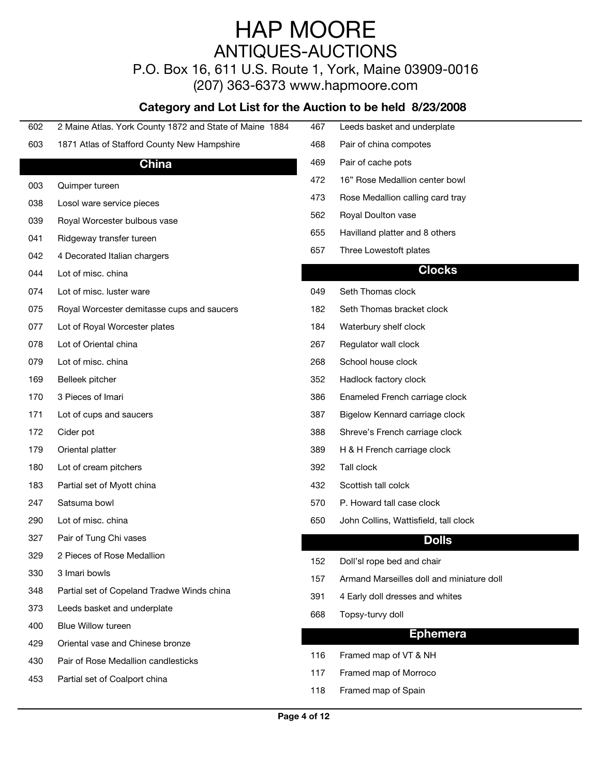P.O. Box 16, 611 U.S. Route 1, York, Maine 03909-0016 (207) 363-6373 www.hapmoore.com

| 602 | 2 Maine Atlas. York County 1872 and State of Maine 1884 | 467 | Leeds basket and underplate               |
|-----|---------------------------------------------------------|-----|-------------------------------------------|
| 603 | 1871 Atlas of Stafford County New Hampshire             | 468 | Pair of china compotes                    |
|     | <b>China</b>                                            | 469 | Pair of cache pots                        |
| 003 | Quimper tureen                                          | 472 | 16" Rose Medallion center bowl            |
| 038 | Losol ware service pieces                               | 473 | Rose Medallion calling card tray          |
| 039 | Royal Worcester bulbous vase                            | 562 | Royal Doulton vase                        |
| 041 | Ridgeway transfer tureen                                | 655 | Havilland platter and 8 others            |
| 042 | 4 Decorated Italian chargers                            | 657 | Three Lowestoft plates                    |
| 044 | Lot of misc. china                                      |     | <b>Clocks</b>                             |
| 074 | Lot of misc. luster ware                                | 049 | Seth Thomas clock                         |
| 075 | Royal Worcester demitasse cups and saucers              | 182 | Seth Thomas bracket clock                 |
| 077 | Lot of Royal Worcester plates                           | 184 | Waterbury shelf clock                     |
| 078 | Lot of Oriental china                                   | 267 | Regulator wall clock                      |
| 079 | Lot of misc. china                                      | 268 | School house clock                        |
| 169 | Belleek pitcher                                         | 352 | Hadlock factory clock                     |
| 170 | 3 Pieces of Imari                                       | 386 | Enameled French carriage clock            |
| 171 | Lot of cups and saucers                                 | 387 | Bigelow Kennard carriage clock            |
| 172 | Cider pot                                               | 388 | Shreve's French carriage clock            |
| 179 | Oriental platter                                        | 389 | H & H French carriage clock               |
| 180 | Lot of cream pitchers                                   | 392 | Tall clock                                |
| 183 | Partial set of Myott china                              | 432 | Scottish tall colck                       |
| 247 | Satsuma bowl                                            | 570 | P. Howard tall case clock                 |
| 290 | Lot of misc. china                                      | 650 | John Collins, Wattisfield, tall clock     |
| 327 | Pair of Tung Chi vases                                  |     | <b>Dolls</b>                              |
| 329 | 2 Pieces of Rose Medallion                              |     |                                           |
| 330 | 3 Imari bowls                                           | 152 | Doll'sl rope bed and chair                |
| 348 | Partial set of Copeland Tradwe Winds china              | 157 | Armand Marseilles doll and miniature doll |
| 373 | Leeds basket and underplate                             | 391 | 4 Early doll dresses and whites           |
| 400 | Blue Willow tureen                                      | 668 | Topsy-turvy doll                          |
| 429 | Oriental vase and Chinese bronze                        |     | <b>Ephemera</b>                           |
| 430 | Pair of Rose Medallion candlesticks                     | 116 | Framed map of VT & NH                     |
| 453 | Partial set of Coalport china                           | 117 | Framed map of Morroco                     |
|     |                                                         | 118 | Framed map of Spain                       |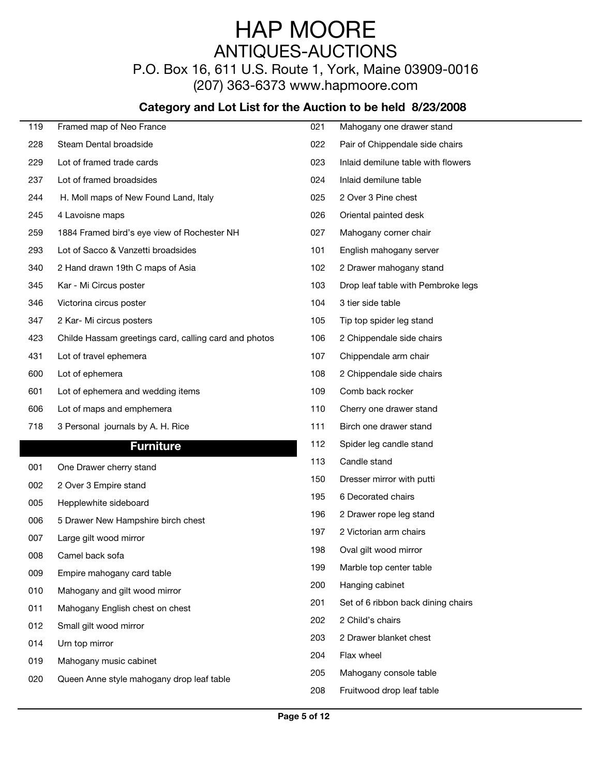P.O. Box 16, 611 U.S. Route 1, York, Maine 03909-0016 (207) 363-6373 www.hapmoore.com

| 119 | Framed map of Neo France                              | 021 | Mahogany one drawer stand          |
|-----|-------------------------------------------------------|-----|------------------------------------|
| 228 | Steam Dental broadside                                | 022 | Pair of Chippendale side chairs    |
| 229 | Lot of framed trade cards                             | 023 | Inlaid demilune table with flowers |
| 237 | Lot of framed broadsides                              | 024 | Inlaid demilune table              |
| 244 | H. Moll maps of New Found Land, Italy                 | 025 | 2 Over 3 Pine chest                |
| 245 | 4 Lavoisne maps                                       | 026 | Oriental painted desk              |
| 259 | 1884 Framed bird's eye view of Rochester NH           | 027 | Mahogany corner chair              |
| 293 | Lot of Sacco & Vanzetti broadsides                    | 101 | English mahogany server            |
| 340 | 2 Hand drawn 19th C maps of Asia                      | 102 | 2 Drawer mahogany stand            |
| 345 | Kar - Mi Circus poster                                | 103 | Drop leaf table with Pembroke legs |
| 346 | Victorina circus poster                               | 104 | 3 tier side table                  |
| 347 | 2 Kar- Mi circus posters                              | 105 | Tip top spider leg stand           |
| 423 | Childe Hassam greetings card, calling card and photos | 106 | 2 Chippendale side chairs          |
| 431 | Lot of travel ephemera                                | 107 | Chippendale arm chair              |
| 600 | Lot of ephemera                                       | 108 | 2 Chippendale side chairs          |
| 601 | Lot of ephemera and wedding items                     | 109 | Comb back rocker                   |
| 606 | Lot of maps and emphemera                             | 110 | Cherry one drawer stand            |
| 718 | 3 Personal journals by A. H. Rice                     | 111 | Birch one drawer stand             |
|     | <b>Furniture</b>                                      | 112 | Spider leg candle stand            |
| 001 | One Drawer cherry stand                               | 113 | Candle stand                       |
| 002 | 2 Over 3 Empire stand                                 | 150 | Dresser mirror with putti          |
| 005 | Hepplewhite sideboard                                 | 195 | 6 Decorated chairs                 |
| 006 | 5 Drawer New Hampshire birch chest                    | 196 | 2 Drawer rope leg stand            |
| 007 | Large gilt wood mirror                                | 197 | 2 Victorian arm chairs             |
| 008 | Camel back sofa                                       | 198 | Oval gilt wood mirror              |
| 009 | Empire mahogany card table                            | 199 | Marble top center table            |
| 010 | Mahogany and gilt wood mirror                         | 200 | Hanging cabinet                    |
| 011 | Mahogany English chest on chest                       | 201 | Set of 6 ribbon back dining chairs |
|     |                                                       | 202 | 2 Child's chairs                   |
| 012 | Small gilt wood mirror                                | 203 | 2 Drawer blanket chest             |
| 014 | Urn top mirror                                        | 204 | Flax wheel                         |
| 019 | Mahogany music cabinet                                | 205 | Mahogany console table             |
| 020 | Queen Anne style mahogany drop leaf table             | 208 | Fruitwood drop leaf table          |
|     |                                                       |     |                                    |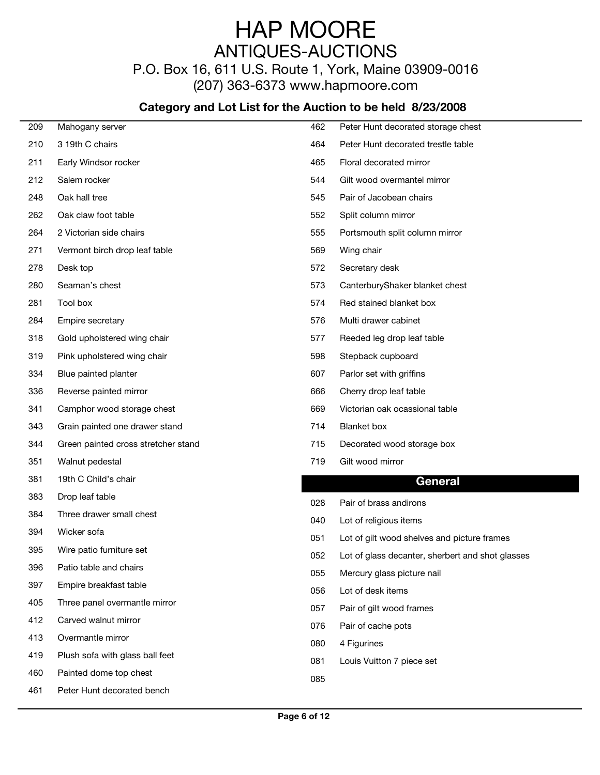P.O. Box 16, 611 U.S. Route 1, York, Maine 03909-0016

(207) 363-6373 www.hapmoore.com

| 209 | Mahogany server                     | 462 | Peter Hunt decorated storage chest               |
|-----|-------------------------------------|-----|--------------------------------------------------|
| 210 | 3 19th C chairs                     | 464 | Peter Hunt decorated trestle table               |
| 211 | Early Windsor rocker                | 465 | Floral decorated mirror                          |
| 212 | Salem rocker                        | 544 | Gilt wood overmantel mirror                      |
| 248 | Oak hall tree                       | 545 | Pair of Jacobean chairs                          |
| 262 | Oak claw foot table                 | 552 | Split column mirror                              |
| 264 | 2 Victorian side chairs             | 555 | Portsmouth split column mirror                   |
| 271 | Vermont birch drop leaf table       | 569 | Wing chair                                       |
| 278 | Desk top                            | 572 | Secretary desk                                   |
| 280 | Seaman's chest                      | 573 | CanterburyShaker blanket chest                   |
| 281 | Tool box                            | 574 | Red stained blanket box                          |
| 284 | Empire secretary                    | 576 | Multi drawer cabinet                             |
| 318 | Gold upholstered wing chair         | 577 | Reeded leg drop leaf table                       |
| 319 | Pink upholstered wing chair         | 598 | Stepback cupboard                                |
| 334 | Blue painted planter                | 607 | Parlor set with griffins                         |
| 336 | Reverse painted mirror              | 666 | Cherry drop leaf table                           |
| 341 | Camphor wood storage chest          | 669 | Victorian oak ocassional table                   |
| 343 | Grain painted one drawer stand      | 714 | <b>Blanket</b> box                               |
| 344 | Green painted cross stretcher stand | 715 | Decorated wood storage box                       |
| 351 | Walnut pedestal                     | 719 | Gilt wood mirror                                 |
| 381 | 19th C Child's chair                |     | <b>General</b>                                   |
| 383 | Drop leaf table                     | 028 | Pair of brass andirons                           |
| 384 | Three drawer small chest            | 040 | Lot of religious items                           |
| 394 | Wicker sofa                         | 051 | Lot of gilt wood shelves and picture frames      |
| 395 | Wire patio furniture set            | 052 | Lot of glass decanter, sherbert and shot glasses |
| 396 | Patio table and chairs              | 055 | Mercury glass picture nail                       |
| 397 | Empire breakfast table              | 056 | Lot of desk items                                |
| 405 | Three panel overmantle mirror       | 057 | Pair of gilt wood frames                         |
| 412 | Carved walnut mirror                | 076 | Pair of cache pots                               |
| 413 | Overmantle mirror                   | 080 | 4 Figurines                                      |
| 419 | Plush sofa with glass ball feet     | 081 | Louis Vuitton 7 piece set                        |
| 460 | Painted dome top chest              | 085 |                                                  |
| 461 | Peter Hunt decorated bench          |     |                                                  |
|     |                                     |     |                                                  |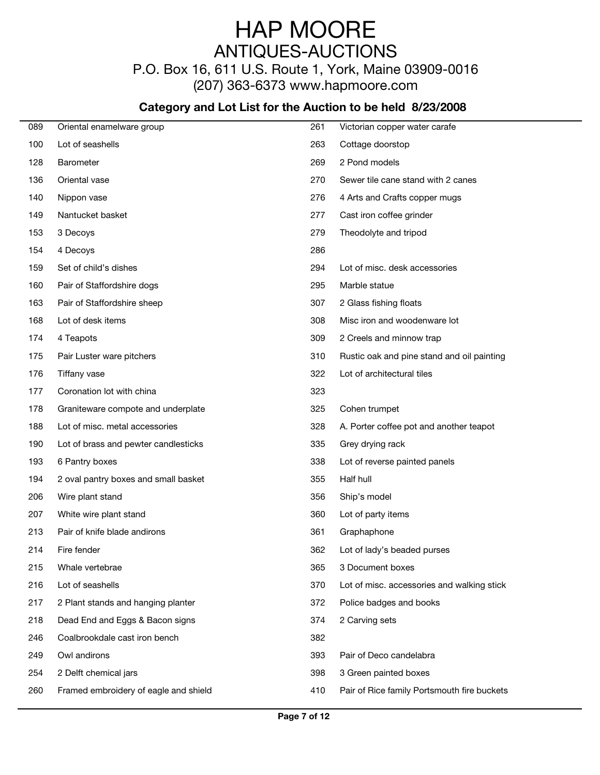P.O. Box 16, 611 U.S. Route 1, York, Maine 03909-0016

(207) 363-6373 www.hapmoore.com

| 089 | Oriental enamelware group             | 261 | Victorian copper water carafe               |
|-----|---------------------------------------|-----|---------------------------------------------|
| 100 | Lot of seashells                      | 263 | Cottage doorstop                            |
| 128 | Barometer                             | 269 | 2 Pond models                               |
| 136 | Oriental vase                         | 270 | Sewer tile cane stand with 2 canes          |
| 140 | Nippon vase                           | 276 | 4 Arts and Crafts copper mugs               |
| 149 | Nantucket basket                      | 277 | Cast iron coffee grinder                    |
| 153 | 3 Decoys                              | 279 | Theodolyte and tripod                       |
| 154 | 4 Decoys                              | 286 |                                             |
| 159 | Set of child's dishes                 | 294 | Lot of misc. desk accessories               |
| 160 | Pair of Staffordshire dogs            | 295 | Marble statue                               |
| 163 | Pair of Staffordshire sheep           | 307 | 2 Glass fishing floats                      |
| 168 | Lot of desk items                     | 308 | Misc iron and woodenware lot                |
| 174 | 4 Teapots                             | 309 | 2 Creels and minnow trap                    |
| 175 | Pair Luster ware pitchers             | 310 | Rustic oak and pine stand and oil painting  |
| 176 | Tiffany vase                          | 322 | Lot of architectural tiles                  |
| 177 | Coronation lot with china             | 323 |                                             |
| 178 | Graniteware compote and underplate    | 325 | Cohen trumpet                               |
| 188 | Lot of misc. metal accessories        | 328 | A. Porter coffee pot and another teapot     |
| 190 | Lot of brass and pewter candlesticks  | 335 | Grey drying rack                            |
| 193 | 6 Pantry boxes                        | 338 | Lot of reverse painted panels               |
| 194 | 2 oval pantry boxes and small basket  | 355 | Half hull                                   |
| 206 | Wire plant stand                      | 356 | Ship's model                                |
| 207 | White wire plant stand                | 360 | Lot of party items                          |
| 213 | Pair of knife blade andirons          | 361 | Graphaphone                                 |
| 214 | Fire fender                           | 362 | Lot of lady's beaded purses                 |
| 215 | Whale vertebrae                       | 365 | 3 Document boxes                            |
| 216 | Lot of seashells                      | 370 | Lot of misc. accessories and walking stick  |
| 217 | 2 Plant stands and hanging planter    | 372 | Police badges and books                     |
| 218 | Dead End and Eggs & Bacon signs       | 374 | 2 Carving sets                              |
| 246 | Coalbrookdale cast iron bench         | 382 |                                             |
| 249 | Owl andirons                          | 393 | Pair of Deco candelabra                     |
| 254 | 2 Delft chemical jars                 | 398 | 3 Green painted boxes                       |
| 260 | Framed embroidery of eagle and shield | 410 | Pair of Rice family Portsmouth fire buckets |
|     |                                       |     |                                             |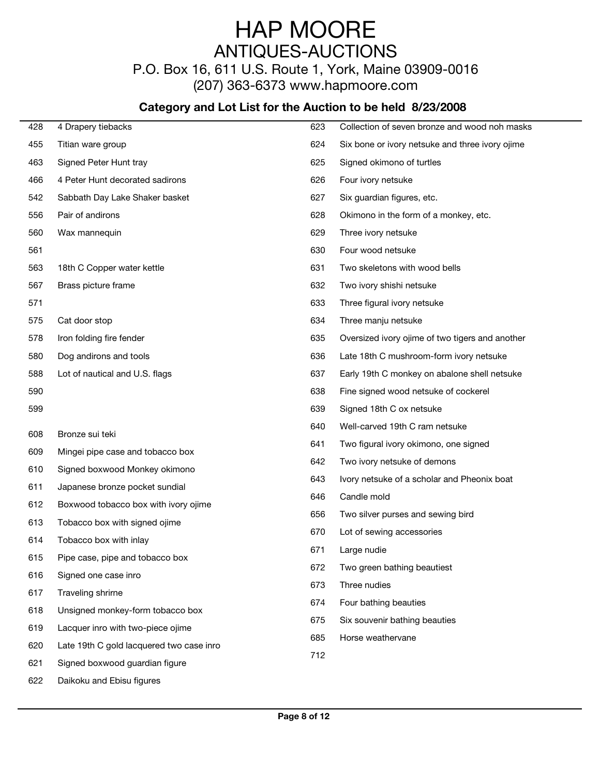### P.O. Box 16, 611 U.S. Route 1, York, Maine 03909-0016

(207) 363-6373 www.hapmoore.com

| 428 | 4 Drapery tiebacks                       | 623 | Collection of seven bronze and wood noh masks   |
|-----|------------------------------------------|-----|-------------------------------------------------|
| 455 | Titian ware group                        | 624 | Six bone or ivory netsuke and three ivory ojime |
| 463 | Signed Peter Hunt tray                   | 625 | Signed okimono of turtles                       |
| 466 | 4 Peter Hunt decorated sadirons          | 626 | Four ivory netsuke                              |
| 542 | Sabbath Day Lake Shaker basket           | 627 | Six guardian figures, etc.                      |
| 556 | Pair of andirons                         | 628 | Okimono in the form of a monkey, etc.           |
| 560 | Wax mannequin                            | 629 | Three ivory netsuke                             |
| 561 |                                          | 630 | Four wood netsuke                               |
| 563 | 18th C Copper water kettle               | 631 | Two skeletons with wood bells                   |
| 567 | Brass picture frame                      | 632 | Two ivory shishi netsuke                        |
| 571 |                                          | 633 | Three figural ivory netsuke                     |
| 575 | Cat door stop                            | 634 | Three manju netsuke                             |
| 578 | Iron folding fire fender                 | 635 | Oversized ivory ojime of two tigers and another |
| 580 | Dog andirons and tools                   | 636 | Late 18th C mushroom-form ivory netsuke         |
| 588 | Lot of nautical and U.S. flags           | 637 | Early 19th C monkey on abalone shell netsuke    |
| 590 |                                          | 638 | Fine signed wood netsuke of cockerel            |
| 599 |                                          | 639 | Signed 18th C ox netsuke                        |
|     |                                          | 640 | Well-carved 19th C ram netsuke                  |
| 608 | Bronze sui teki                          | 641 | Two figural ivory okimono, one signed           |
| 609 | Mingei pipe case and tobacco box         | 642 | Two ivory netsuke of demons                     |
| 610 | Signed boxwood Monkey okimono            | 643 | Ivory netsuke of a scholar and Pheonix boat     |
| 611 | Japanese bronze pocket sundial           | 646 | Candle mold                                     |
| 612 | Boxwood tobacco box with ivory ojime     | 656 | Two silver purses and sewing bird               |
| 613 | Tobacco box with signed ojime            | 670 | Lot of sewing accessories                       |
| 614 | Tobacco box with inlay                   | 671 | Large nudie                                     |
| 615 | Pipe case, pipe and tobacco box          | 672 | Two green bathing beautiest                     |
| 616 | Signed one case inro                     | 673 | Three nudies                                    |
| 617 | Traveling shrirne                        | 674 | Four bathing beauties                           |
| 618 | Unsigned monkey-form tobacco box         | 675 | Six souvenir bathing beauties                   |
| 619 | Lacquer inro with two-piece ojime        | 685 | Horse weathervane                               |
| 620 | Late 19th C gold lacquered two case inro | 712 |                                                 |
| 621 | Signed boxwood guardian figure           |     |                                                 |
| 622 | Daikoku and Ebisu figures                |     |                                                 |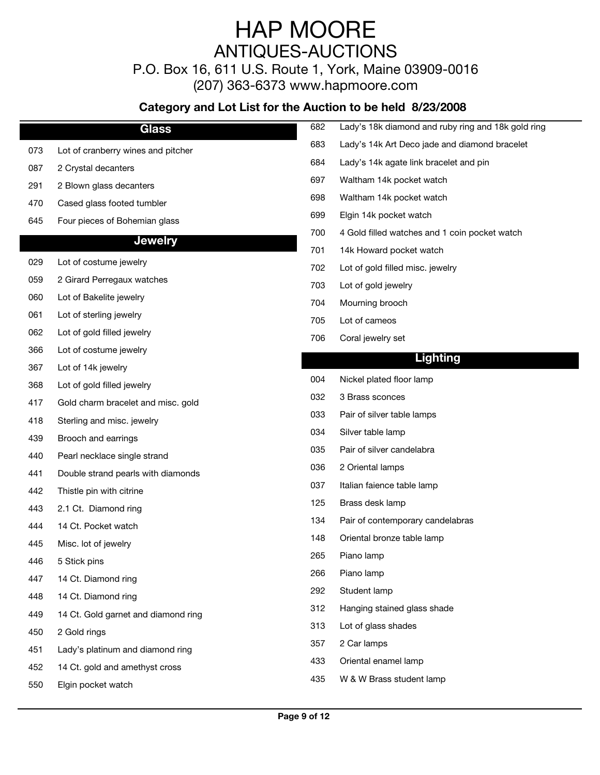P.O. Box 16, 611 U.S. Route 1, York, Maine 03909-0016

(207) 363-6373 www.hapmoore.com

|     | <b>Glass</b>                        | 682 | Lady's 18k diamond and ruby ring and 18k gold ring |
|-----|-------------------------------------|-----|----------------------------------------------------|
| 073 | Lot of cranberry wines and pitcher  | 683 | Lady's 14k Art Deco jade and diamond bracelet      |
| 087 | 2 Crystal decanters                 | 684 | Lady's 14k agate link bracelet and pin             |
| 291 | 2 Blown glass decanters             | 697 | Waltham 14k pocket watch                           |
| 470 | Cased glass footed tumbler          | 698 | Waltham 14k pocket watch                           |
| 645 | Four pieces of Bohemian glass       | 699 | Elgin 14k pocket watch                             |
|     | <b>Jewelry</b>                      | 700 | 4 Gold filled watches and 1 coin pocket watch      |
|     |                                     | 701 | 14k Howard pocket watch                            |
| 029 | Lot of costume jewelry              | 702 | Lot of gold filled misc. jewelry                   |
| 059 | 2 Girard Perregaux watches          | 703 | Lot of gold jewelry                                |
| 060 | Lot of Bakelite jewelry             | 704 | Mourning brooch                                    |
| 061 | Lot of sterling jewelry             | 705 | Lot of cameos                                      |
| 062 | Lot of gold filled jewelry          | 706 | Coral jewelry set                                  |
| 366 | Lot of costume jewelry              |     | <b>Lighting</b>                                    |
| 367 | Lot of 14k jewelry                  | 004 | Nickel plated floor lamp                           |
| 368 | Lot of gold filled jewelry          |     |                                                    |
| 417 | Gold charm bracelet and misc. gold  | 032 | 3 Brass sconces                                    |
| 418 | Sterling and misc. jewelry          | 033 | Pair of silver table lamps                         |
| 439 | Brooch and earrings                 | 034 | Silver table lamp                                  |
| 440 | Pearl necklace single strand        | 035 | Pair of silver candelabra                          |
| 441 | Double strand pearls with diamonds  | 036 | 2 Oriental lamps                                   |
| 442 | Thistle pin with citrine            | 037 | Italian faience table lamp                         |
| 443 | 2.1 Ct. Diamond ring                | 125 | Brass desk lamp                                    |
| 444 | 14 Ct. Pocket watch                 | 134 | Pair of contemporary candelabras                   |
| 445 | Misc. lot of jewelry                | 148 | Oriental bronze table lamp                         |
| 446 | 5 Stick pins                        | 265 | Piano lamp                                         |
| 447 | 14 Ct. Diamond ring                 | 266 | Piano lamp                                         |
| 448 | 14 Ct. Diamond ring                 | 292 | Student lamp                                       |
| 449 | 14 Ct. Gold garnet and diamond ring | 312 | Hanging stained glass shade                        |
| 450 | 2 Gold rings                        | 313 | Lot of glass shades                                |
| 451 | Lady's platinum and diamond ring    | 357 | 2 Car lamps                                        |
| 452 | 14 Ct. gold and amethyst cross      | 433 | Oriental enamel lamp                               |
| 550 | Elgin pocket watch                  | 435 | W & W Brass student lamp                           |
|     |                                     |     |                                                    |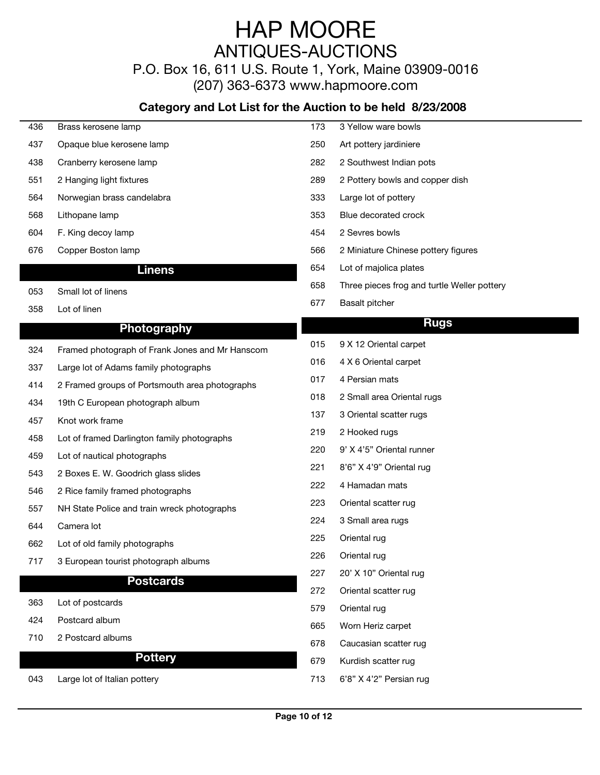P.O. Box 16, 611 U.S. Route 1, York, Maine 03909-0016 (207) 363-6373 www.hapmoore.com

| 436 | Brass kerosene lamp                             | 173 | 3 Yellow ware bowls                         |
|-----|-------------------------------------------------|-----|---------------------------------------------|
| 437 | Opaque blue kerosene lamp                       | 250 | Art pottery jardiniere                      |
| 438 | Cranberry kerosene lamp                         | 282 | 2 Southwest Indian pots                     |
| 551 | 2 Hanging light fixtures                        | 289 | 2 Pottery bowls and copper dish             |
| 564 | Norwegian brass candelabra                      | 333 | Large lot of pottery                        |
| 568 | Lithopane lamp                                  | 353 | Blue decorated crock                        |
| 604 | F. King decoy lamp                              | 454 | 2 Sevres bowls                              |
| 676 | Copper Boston lamp                              | 566 | 2 Miniature Chinese pottery figures         |
|     | <b>Linens</b>                                   | 654 | Lot of majolica plates                      |
| 053 | Small lot of linens                             | 658 | Three pieces frog and turtle Weller pottery |
| 358 | Lot of linen                                    | 677 | <b>Basalt pitcher</b>                       |
|     | Photography                                     |     | <b>Rugs</b>                                 |
|     |                                                 | 015 | 9 X 12 Oriental carpet                      |
| 324 | Framed photograph of Frank Jones and Mr Hanscom | 016 | 4 X 6 Oriental carpet                       |
| 337 | Large lot of Adams family photographs           | 017 | 4 Persian mats                              |
| 414 | 2 Framed groups of Portsmouth area photographs  | 018 | 2 Small area Oriental rugs                  |
| 434 | 19th C European photograph album                | 137 | 3 Oriental scatter rugs                     |
| 457 | Knot work frame                                 | 219 | 2 Hooked rugs                               |
| 458 | Lot of framed Darlington family photographs     |     |                                             |
| 459 | Lot of nautical photographs                     | 220 | 9' X 4'5" Oriental runner                   |
| 543 | 2 Boxes E. W. Goodrich glass slides             | 221 | 8'6" X 4'9" Oriental rug                    |
| 546 | 2 Rice family framed photographs                | 222 | 4 Hamadan mats                              |
| 557 | NH State Police and train wreck photographs     | 223 | Oriental scatter rug                        |
| 644 | Camera lot                                      | 224 | 3 Small area rugs                           |
| 662 | Lot of old family photographs                   | 225 | Oriental rug                                |
| 717 | 3 European tourist photograph albums            | 226 | Oriental rug                                |
|     | <b>Postcards</b>                                | 227 | 20' X 10" Oriental rug                      |
| 363 | Lot of postcards                                | 272 | Oriental scatter rug                        |
| 424 | Postcard album                                  | 579 | Oriental rug                                |
|     | 2 Postcard albums                               | 665 | Worn Heriz carpet                           |
| 710 |                                                 | 678 | Caucasian scatter rug                       |
|     | <b>Pottery</b>                                  | 679 | Kurdish scatter rug                         |
| 043 | Large lot of Italian pottery                    | 713 | 6'8" X 4'2" Persian rug                     |
|     |                                                 |     |                                             |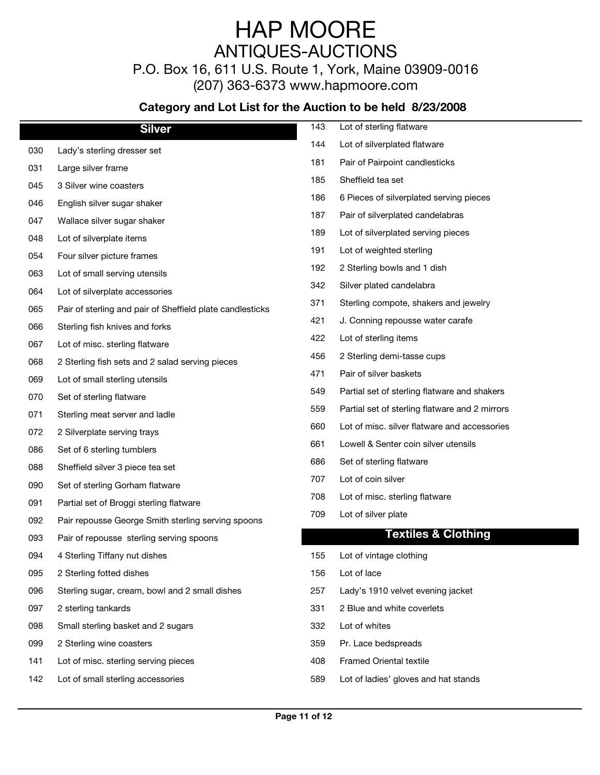P.O. Box 16, 611 U.S. Route 1, York, Maine 03909-0016

(207) 363-6373 www.hapmoore.com

|     | <b>Silver</b>                                             | 143 | Lot of sterling flatware                       |
|-----|-----------------------------------------------------------|-----|------------------------------------------------|
| 030 | Lady's sterling dresser set                               | 144 | Lot of silverplated flatware                   |
| 031 | Large silver frame                                        | 181 | Pair of Pairpoint candlesticks                 |
| 045 | 3 Silver wine coasters                                    | 185 | Sheffield tea set                              |
| 046 | English silver sugar shaker                               | 186 | 6 Pieces of silverplated serving pieces        |
| 047 | Wallace silver sugar shaker                               | 187 | Pair of silverplated candelabras               |
| 048 | Lot of silverplate items                                  | 189 | Lot of silverplated serving pieces             |
| 054 | Four silver picture frames                                | 191 | Lot of weighted sterling                       |
| 063 | Lot of small serving utensils                             | 192 | 2 Sterling bowls and 1 dish                    |
| 064 | Lot of silverplate accessories                            | 342 | Silver plated candelabra                       |
| 065 | Pair of sterling and pair of Sheffield plate candlesticks | 371 | Sterling compote, shakers and jewelry          |
| 066 | Sterling fish knives and forks                            | 421 | J. Conning repousse water carafe               |
| 067 | Lot of misc. sterling flatware                            | 422 | Lot of sterling items                          |
| 068 | 2 Sterling fish sets and 2 salad serving pieces           | 456 | 2 Sterling demi-tasse cups                     |
| 069 | Lot of small sterling utensils                            | 471 | Pair of silver baskets                         |
|     | Set of sterling flatware                                  | 549 | Partial set of sterling flatware and shakers   |
| 070 |                                                           | 559 | Partial set of sterling flatware and 2 mirrors |
| 071 | Sterling meat server and ladle                            | 660 | Lot of misc. silver flatware and accessories   |
| 072 | 2 Silverplate serving trays                               | 661 | Lowell & Senter coin silver utensils           |
| 086 | Set of 6 sterling tumblers                                | 686 | Set of sterling flatware                       |
| 088 | Sheffield silver 3 piece tea set                          | 707 | Lot of coin silver                             |
| 090 | Set of sterling Gorham flatware                           | 708 | Lot of misc. sterling flatware                 |
| 091 | Partial set of Broggi sterling flatware                   | 709 | Lot of silver plate                            |
| 092 | Pair repousse George Smith sterling serving spoons        |     | <b>Textiles &amp; Clothing</b>                 |
| 093 | Pair of repousse sterling serving spoons                  |     |                                                |
| 094 | 4 Sterling Tiffany nut dishes                             | 155 | Lot of vintage clothing                        |
| 095 | 2 Sterling fotted dishes                                  | 156 | Lot of lace                                    |
| 096 | Sterling sugar, cream, bowl and 2 small dishes            | 257 | Lady's 1910 velvet evening jacket              |
| 097 | 2 sterling tankards                                       | 331 | 2 Blue and white coverlets                     |
| 098 | Small sterling basket and 2 sugars                        | 332 | Lot of whites                                  |
| 099 | 2 Sterling wine coasters                                  | 359 | Pr. Lace bedspreads                            |
| 141 | Lot of misc. sterling serving pieces                      | 408 | <b>Framed Oriental textile</b>                 |
| 142 | Lot of small sterling accessories                         | 589 | Lot of ladies' gloves and hat stands           |
|     |                                                           |     |                                                |